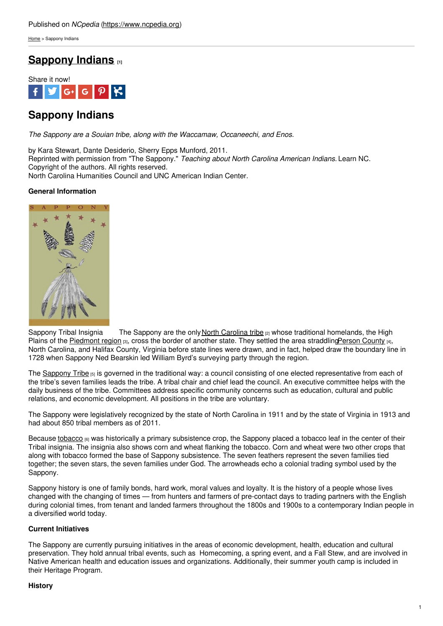[Home](https://www.ncpedia.org/) > Sappony Indians

# **[Sappony](https://www.ncpedia.org/sappony-indians) Indians [1]**



# **Sappony Indians**

*The Sappony are a Souian tribe, along with the Waccamaw, Occaneechi, and Enos.*

by Kara Stewart, Dante Desiderio, Sherry Epps Munford, 2011. Reprinted with permission from "The Sappony." *Teaching about North Carolina American Indians.* Learn NC. Copyright of the authors. All rights reserved. North Carolina Humanities Council and UNC American Indian Center.

# **General Information**



Sappony Tribal Insignia The Sappony are the only North [Carolina](https://www.ncpedia.org/tribes) tribe [2] whose traditional homelands, the High Plains of the [Piedmont](https://www.ncpedia.org/geography/region/piedmont) region [3], cross the border of another state. They settled the area straddlin[gPerson](https://www.ncpedia.org/geography/person) County [4], North Carolina, and Halifax County, Virginia before state lines were drawn, and in fact, helped draw the boundary line in 1728 when Sappony Ned Bearskin led William Byrd's surveying party through the region.

The [Sappony](https://www.sappony.org/) Tribe [5] is governed in the traditional way: a council consisting of one elected representative from each of the tribe's seven families leads the tribe. A tribal chair and chief lead the council. An executive committee helps with the daily business of the tribe. Committees address specific community concerns such as education, cultural and public relations, and economic development. All positions in the tribe are voluntary.

The Sappony were legislatively recognized by the state of North Carolina in 1911 and by the state of Virginia in 1913 and had about 850 tribal members as of 2011.

Because [tobacco](https://www.ncpedia.org/tobacco) <sub>[6]</sub> was historically a primary subsistence crop, the Sappony placed a tobacco leaf in the center of their Tribal insignia. The insignia also shows corn and wheat flanking the tobacco. Corn and wheat were two other crops that along with tobacco formed the base of Sappony subsistence. The seven feathers represent the seven families tied together; the seven stars, the seven families under God. The arrowheads echo a colonial trading symbol used by the Sappony.

Sappony history is one of family bonds, hard work, moral values and loyalty. It is the history of a people whose lives changed with the changing of times — from hunters and farmers of pre-contact days to trading partners with the English during colonial times, from tenant and landed farmers throughout the 1800s and 1900s to a contemporary Indian people in a diversified world today.

# **Current Initiatives**

The Sappony are currently pursuing initiatives in the areas of economic development, health, education and cultural preservation. They hold annual tribal events, such as Homecoming, a spring event, and a Fall Stew, and are involved in Native American health and education issues and organizations. Additionally, their summer youth camp is included in their Heritage Program.

# **History**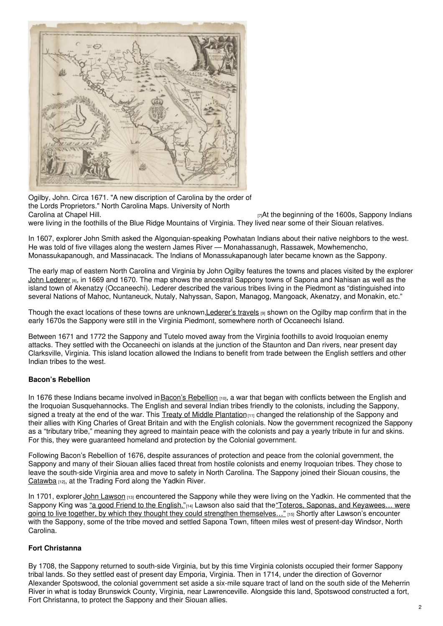

Ogilby, John. Circa 1671. "A new discription of Carolina by the order of the Lords Proprietors." North Carolina Maps. University of North [Carolina](https://dc.lib.unc.edu/cdm/ref/collection/ncmaps/id/498) at Chapel Hill. **Example 20** Transfer the beginning of the 1600s, Sappony Indians

were living in the foothills of the Blue Ridge Mountains of Virginia. They lived near some of their Siouan relatives.

In 1607, explorer John Smith asked the Algonquian-speaking Powhatan Indians about their native neighbors to the west. He was told of five villages along the western James River — Monahassanugh, Rassawek, Mowhemencho, Monassukapanough, and Massinacack. The Indians of Monassukapanough later became known as the Sappony.

The early map of eastern North Carolina and Virginia by John Ogilby features the towns and places visited by the explorer John [Lederer](https://www.ncpedia.org/biography/lederer-johann-or-john) [8], in 1669 and 1670. The map shows the ancestral Sappony towns of Sapona and Nahisan as well as the island town of Akenatzy (Occaneechi). Lederer described the various tribes living in the Piedmont as "distinguished into several Nations of Mahoc, Nuntaneuck, Nutaly, Nahyssan, Sapon, Managog, Mangoack, Akenatzy, and Monakin, etc."

Though the exact locations of these towns are unknown, Lederer's travels [9] shown on the Ogilby map confirm that in the early 1670s the Sappony were still in the Virginia Piedmont, somewhere north of Occaneechi Island.

Between 1671 and 1772 the Sappony and Tutelo moved away from the Virginia foothills to avoid Iroquoian enemy attacks. They settled with the Occaneechi on islands at the junction of the Staunton and Dan rivers, near present day Clarksville, Virginia. This island location allowed the Indians to benefit from trade between the English settlers and other Indian tribes to the west.

# **Bacon's Rebellion**

In 1676 these Indians became involved in Bacon's [Rebellion](https://encyclopediavirginia.org/entries/bacons-rebellion-1676-1677/) [10], a war that began with conflicts between the English and the Iroquoian Susquehannocks. The English and several Indian tribes friendly to the colonists, including the Sappony, signed a treaty at the end of the war. This Treaty of Middle [Plantation](https://encyclopediavirginia.org/entries/articles-of-peace-1677/)  $[11]$  changed the relationship of the Sappony and their allies with King Charles of Great Britain and with the English colonials. Now the government recognized the Sappony as a "tributary tribe," meaning they agreed to maintain peace with the colonists and pay a yearly tribute in fur and skins. For this, they were guaranteed homeland and protection by the Colonial government.

Following Bacon's Rebellion of 1676, despite assurances of protection and peace from the colonial government, the Sappony and many of their Siouan allies faced threat from hostile colonists and enemy Iroquoian tribes. They chose to leave the south-side Virginia area and move to safety in North Carolina. The Sappony joined their Siouan cousins, the [Catawba](https://www.ncpedia.org/catawba-indians) [12], at the Trading Ford along the Yadkin River.

In 1701, explorer John [Lawson](https://www.ncpedia.org/biography/lawson-john)  $131$  encountered the Sappony while they were living on the Yadkin. He commented that the Sappony King was "a good Friend to the [English."](https://archive.org/details/newvoyagetocarol00laws/page/46/mode/1up?view=theater)[14] Lawson also said that the "Toteros, Saponas, and Keyawees... were going to live together, by which they thought they could strengthen themselves..." [15] Shortly after Lawson's encounter with the Sappony, some of the tribe moved and settled Sapona Town, fifteen miles west of present-day Windsor, North Carolina.

# **Fort Christanna**

By 1708, the Sappony returned to south-side Virginia, but by this time Virginia colonists occupied their former Sappony tribal lands. So they settled east of present day Emporia, Virginia. Then in 1714, under the direction of Governor Alexander Spotswood, the colonial government set aside a six-mile square tract of land on the south side of the Meherrin River in what is today Brunswick County, Virginia, near Lawrenceville. Alongside this land, Spotswood constructed a fort, Fort Christanna, to protect the Sappony and their Siouan allies.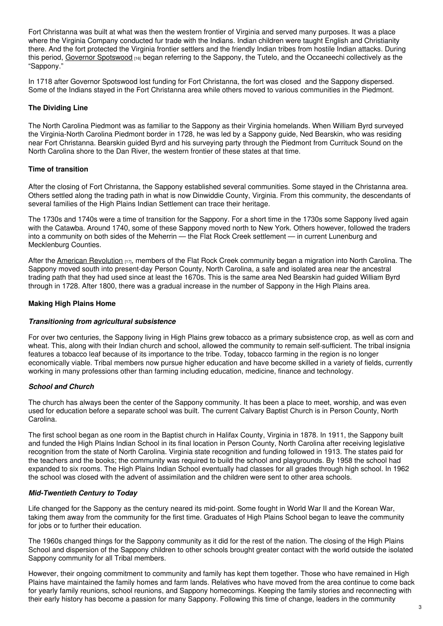Fort Christanna was built at what was then the western frontier of Virginia and served many purposes. It was a place where the Virginia Company conducted fur trade with the Indians. Indian children were taught English and Christianity there. And the fort protected the Virginia frontier settlers and the friendly Indian tribes from hostile Indian attacks. During this period, Governor [Spotswood](https://encyclopediavirginia.org/entries/spotswood-alexander-1676-1740/) [16] began referring to the Sappony, the Tutelo, and the Occaneechi collectively as the "Sappony."

In 1718 after Governor Spotswood lost funding for Fort Christanna, the fort was closed and the Sappony dispersed. Some of the Indians stayed in the Fort Christanna area while others moved to various communities in the Piedmont.

# **The Dividing Line**

The North Carolina Piedmont was as familiar to the Sappony as their Virginia homelands. When William Byrd surveyed the Virginia-North Carolina Piedmont border in 1728, he was led by a Sappony guide, Ned Bearskin, who was residing near Fort Christanna. Bearskin guided Byrd and his surveying party through the Piedmont from Currituck Sound on the North Carolina shore to the Dan River, the western frontier of these states at that time.

# **Time of transition**

After the closing of Fort Christanna, the Sappony established several communities. Some stayed in the Christanna area. Others settled along the trading path in what is now Dinwiddie County, Virginia. From this community, the descendants of several families of the High Plains Indian Settlement can trace their heritage.

The 1730s and 1740s were a time of transition for the Sappony. For a short time in the 1730s some Sappony lived again with the Catawba. Around 1740, some of these Sappony moved north to New York. Others however, followed the traders into a community on both sides of the Meherrin — the Flat Rock Creek settlement — in current Lunenburg and Mecklenburg Counties.

After the American [Revolution](https://www.ncpedia.org/american-revolution) [17], members of the Flat Rock Creek community began a migration into North Carolina. The Sappony moved south into present-day Person County, North Carolina, a safe and isolated area near the ancestral trading path that they had used since at least the 1670s. This is the same area Ned Bearskin had guided William Byrd through in 1728. After 1800, there was a gradual increase in the number of Sappony in the High Plains area.

# **Making High Plains Home**

# *Transitioning from agricultural subsistence*

For over two centuries, the Sappony living in High Plains grew tobacco as a primary subsistence crop, as well as corn and wheat. This, along with their Indian church and school, allowed the community to remain self-sufficient. The tribal insignia features a tobacco leaf because of its importance to the tribe. Today, tobacco farming in the region is no longer economically viable. Tribal members now pursue higher education and have become skilled in a variety of fields, currently working in many professions other than farming including education, medicine, finance and technology.

# *School and Church*

The church has always been the center of the Sappony community. It has been a place to meet, worship, and was even used for education before a separate school was built. The current Calvary Baptist Church is in Person County, North Carolina.

The first school began as one room in the Baptist church in Halifax County, Virginia in 1878. In 1911, the Sappony built and funded the High Plains Indian School in its final location in Person County, North Carolina after receiving legislative recognition from the state of North Carolina. Virginia state recognition and funding followed in 1913. The states paid for the teachers and the books; the community was required to build the school and playgrounds. By 1958 the school had expanded to six rooms. The High Plains Indian School eventually had classes for all grades through high school. In 1962 the school was closed with the advent of assimilation and the children were sent to other area schools.

# *Mid-Twentieth Century to Today*

Life changed for the Sappony as the century neared its mid-point. Some fought in World War II and the Korean War, taking them away from the community for the first time. Graduates of High Plains School began to leave the community for jobs or to further their education.

The 1960s changed things for the Sappony community as it did for the rest of the nation. The closing of the High Plains School and dispersion of the Sappony children to other schools brought greater contact with the world outside the isolated Sappony community for all Tribal members.

However, their ongoing commitment to community and family has kept them together. Those who have remained in High Plains have maintained the family homes and farm lands. Relatives who have moved from the area continue to come back for yearly family reunions, school reunions, and Sappony homecomings. Keeping the family stories and reconnecting with their early history has become a passion for many Sappony. Following this time of change, leaders in the community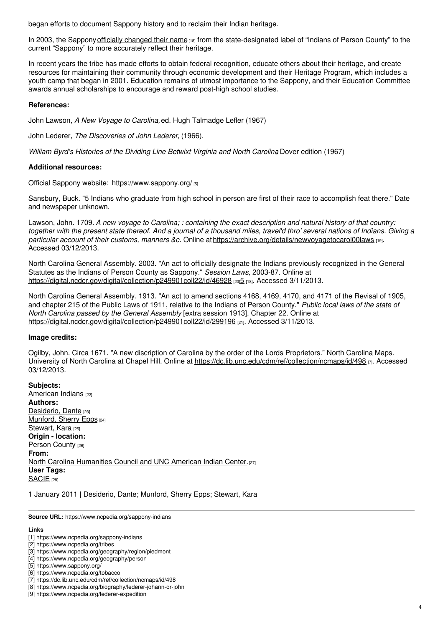began efforts to document Sappony history and to reclaim their Indian heritage.

In 2003, the Sappony officially [changed](https://digital.ncdcr.gov/digital/collection/p249901coll22/id/469285) their name [18] from the state-designated label of "Indians of Person County" to the current "Sappony" to more accurately reflect their heritage.

In recent years the tribe has made efforts to obtain federal recognition, educate others about their heritage, and create resources for maintaining their community through economic development and their Heritage Program, which includes a youth camp that began in 2001. Education remains of utmost importance to the Sappony, and their Education Committee awards annual scholarships to encourage and reward post-high school studies.

### **References:**

John Lawson, *A New Voyage to Carolina,*ed. Hugh Talmadge Lefler (1967)

John Lederer, *The Discoveries of John Lederer,* (1966).

*William Byrd's Histories of the Dividing Line Betwixt Virginia and North Carolina*, Dover edition (1967)

### **Additional resources:**

Official Sappony website: <https://www.sappony.org/> [5]

Sansbury, Buck. "5 Indians who graduate from high school in person are first of their race to accomplish feat there." Date and newspaper unknown.

Lawson, John. 1709. A new voyage to Carolina; : containing the exact description and natural history of that country: together with the present state thereof. And a journal of a thousand miles, travel'd thro' several nations of Indians. Giving a *particular account of their customs, manners &c*. Online at<https://archive.org/details/newvoyagetocarol00laws> [19]. Accessed 03/12/2013.

North Carolina General Assembly. 2003. "An act to officially designate the Indians previously recognized in the General Statutes as the Indians of Person County as Sappony." *Session Laws,* 2003-87. Online at <https://digital.ncdcr.gov/digital/collection/p249901coll22/id/46928> [20][5](https://digital.ncdcr.gov/digital/collection/p249901coll22/id/469285) [18]. Accessed 3/11/2013.

North Carolina General Assembly. 1913. "An act to amend sections 4168, 4169, 4170, and 4171 of the Revisal of 1905, and chapter 215 of the Public Laws of 1911, relative to the Indians of Person County." *Public local laws of the state of North Carolina passed by the General Assembly* [extra session 1913]. Chapter 22. Online at <https://digital.ncdcr.gov/digital/collection/p249901coll22/id/299196> [21]. Accessed 3/11/2013.

#### **Image credits:**

Ogilby, John. Circa 1671. "A new discription of Carolina by the order of the Lords Proprietors." North Carolina Maps. University of North Carolina at Chapel Hill. Online at <https://dc.lib.unc.edu/cdm/ref/collection/ncmaps/id/498> [7]. Accessed 03/12/2013.

**Subjects:** [American](https://www.ncpedia.org/category/subjects/american-indian) Indians [22] **Authors:** [Desiderio,](https://www.ncpedia.org/category/authors/desiderio-dante) Dante [23] [Munford,](https://www.ncpedia.org/category/authors/munford-sherry) Sherry Epps [24] [Stewart,](https://www.ncpedia.org/category/authors/stewart-kara) Kara [25] **Origin - location:** [Person](https://www.ncpedia.org/category/origin-location/piedmont/p) County [26] **From:** North Carolina [Humanities](https://www.ncpedia.org/category/entry-source/north) Council and UNC American Indian Center. [27] **User Tags:** [SACIE](https://www.ncpedia.org/category/user-tags/sacie) [28]

1 January 2011 | Desiderio, Dante; Munford, Sherry Epps; Stewart, Kara

**Source URL:** https://www.ncpedia.org/sappony-indians

#### **Links**

<sup>[1]</sup> https://www.ncpedia.org/sappony-indians

<sup>[2]</sup> https://www.ncpedia.org/tribes

<sup>[3]</sup> https://www.ncpedia.org/geography/region/piedmont

<sup>[4]</sup> https://www.ncpedia.org/geography/person

<sup>[5]</sup> https://www.sappony.org/

<sup>[6]</sup> https://www.ncpedia.org/tobacco

<sup>[7]</sup> https://dc.lib.unc.edu/cdm/ref/collection/ncmaps/id/498

<sup>[8]</sup> https://www.ncpedia.org/biography/lederer-johann-or-john

<sup>[9]</sup> https://www.ncpedia.org/lederer-expedition